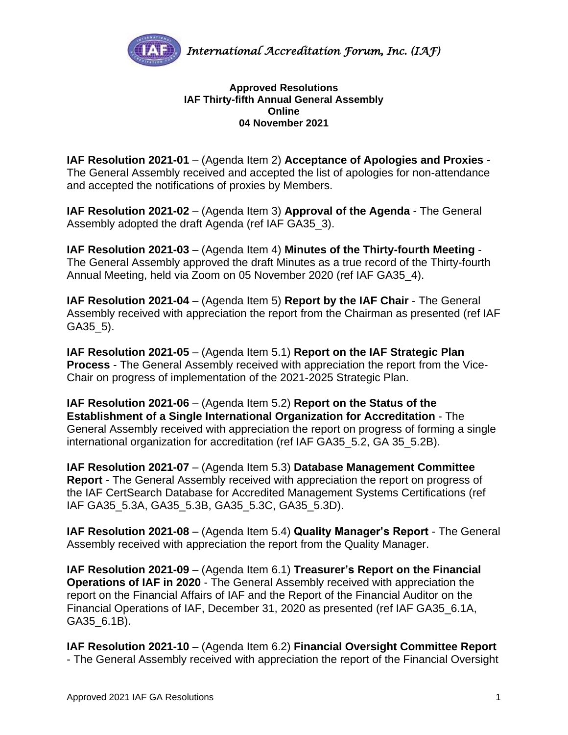

## **Approved Resolutions IAF Thirty-fifth Annual General Assembly Online 04 November 2021**

**IAF Resolution 2021-01** – (Agenda Item 2) **Acceptance of Apologies and Proxies** - The General Assembly received and accepted the list of apologies for non-attendance and accepted the notifications of proxies by Members.

**IAF Resolution 2021-02** – (Agenda Item 3) **Approval of the Agenda** - The General Assembly adopted the draft Agenda (ref IAF GA35\_3).

**IAF Resolution 2021-03** – (Agenda Item 4) **Minutes of the Thirty-fourth Meeting** - The General Assembly approved the draft Minutes as a true record of the Thirty-fourth Annual Meeting, held via Zoom on 05 November 2020 (ref IAF GA35\_4).

**IAF Resolution 2021-04** – (Agenda Item 5) **Report by the IAF Chair** - The General Assembly received with appreciation the report from the Chairman as presented (ref IAF GA35\_5).

**IAF Resolution 2021-05** – (Agenda Item 5.1) **Report on the IAF Strategic Plan Process** - The General Assembly received with appreciation the report from the Vice-Chair on progress of implementation of the 2021-2025 Strategic Plan.

**IAF Resolution 2021-06** – (Agenda Item 5.2) **Report on the Status of the Establishment of a Single International Organization for Accreditation** - The General Assembly received with appreciation the report on progress of forming a single international organization for accreditation (ref IAF GA35\_5.2, GA 35\_5.2B).

**IAF Resolution 2021-07** – (Agenda Item 5.3) **Database Management Committee Report** - The General Assembly received with appreciation the report on progress of the IAF CertSearch Database for Accredited Management Systems Certifications (ref IAF GA35\_5.3A, GA35\_5.3B, GA35\_5.3C, GA35\_5.3D).

**IAF Resolution 2021-08** – (Agenda Item 5.4) **Quality Manager's Report** - The General Assembly received with appreciation the report from the Quality Manager.

**IAF Resolution 2021-09** – (Agenda Item 6.1) **Treasurer's Report on the Financial Operations of IAF in 2020** - The General Assembly received with appreciation the report on the Financial Affairs of IAF and the Report of the Financial Auditor on the Financial Operations of IAF, December 31, 2020 as presented (ref IAF GA35\_6.1A, GA35\_6.1B).

**IAF Resolution 2021-10** – (Agenda Item 6.2) **Financial Oversight Committee Report** - The General Assembly received with appreciation the report of the Financial Oversight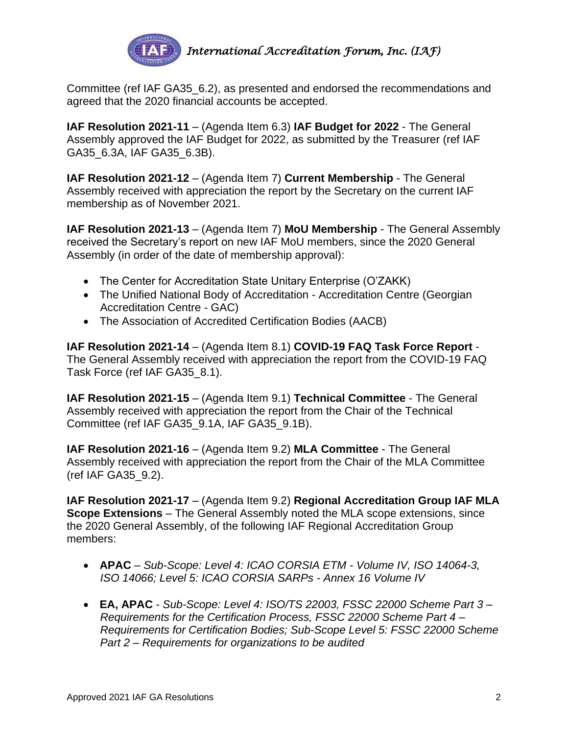

Committee (ref IAF GA35\_6.2), as presented and endorsed the recommendations and agreed that the 2020 financial accounts be accepted.

**IAF Resolution 2021-11** – (Agenda Item 6.3) **IAF Budget for 2022** - The General Assembly approved the IAF Budget for 2022, as submitted by the Treasurer (ref IAF GA35\_6.3A, IAF GA35\_6.3B).

**IAF Resolution 2021-12** – (Agenda Item 7) **Current Membership** - The General Assembly received with appreciation the report by the Secretary on the current IAF membership as of November 2021.

**IAF Resolution 2021-13** – (Agenda Item 7) **MoU Membership** - The General Assembly received the Secretary's report on new IAF MoU members, since the 2020 General Assembly (in order of the date of membership approval):

- The Center for Accreditation State Unitary Enterprise (O'ZAKK)
- The Unified National Body of Accreditation Accreditation Centre (Georgian Accreditation Centre - GAC)
- The Association of Accredited Certification Bodies (AACB)

**IAF Resolution 2021-14** – (Agenda Item 8.1) **COVID-19 FAQ Task Force Report** - The General Assembly received with appreciation the report from the COVID-19 FAQ Task Force (ref IAF GA35\_8.1).

**IAF Resolution 2021-15** – (Agenda Item 9.1) **Technical Committee** - The General Assembly received with appreciation the report from the Chair of the Technical Committee (ref IAF GA35\_9.1A, IAF GA35\_9.1B).

**IAF Resolution 2021-16** – (Agenda Item 9.2) **MLA Committee** - The General Assembly received with appreciation the report from the Chair of the MLA Committee (ref IAF GA35\_9.2).

**IAF Resolution 2021-17** – (Agenda Item 9.2) **Regional Accreditation Group IAF MLA Scope Extensions** – The General Assembly noted the MLA scope extensions, since the 2020 General Assembly, of the following IAF Regional Accreditation Group members:

- **APAC** *Sub-Scope: Level 4: ICAO CORSIA ETM - Volume IV, ISO 14064-3, ISO 14066; Level 5: ICAO CORSIA SARPs - Annex 16 Volume IV*
- **EA, APAC** *Sub-Scope: Level 4: ISO/TS 22003, FSSC 22000 Scheme Part 3 – Requirements for the Certification Process, FSSC 22000 Scheme Part 4 – Requirements for Certification Bodies; Sub-Scope Level 5: FSSC 22000 Scheme Part 2 – Requirements for organizations to be audited*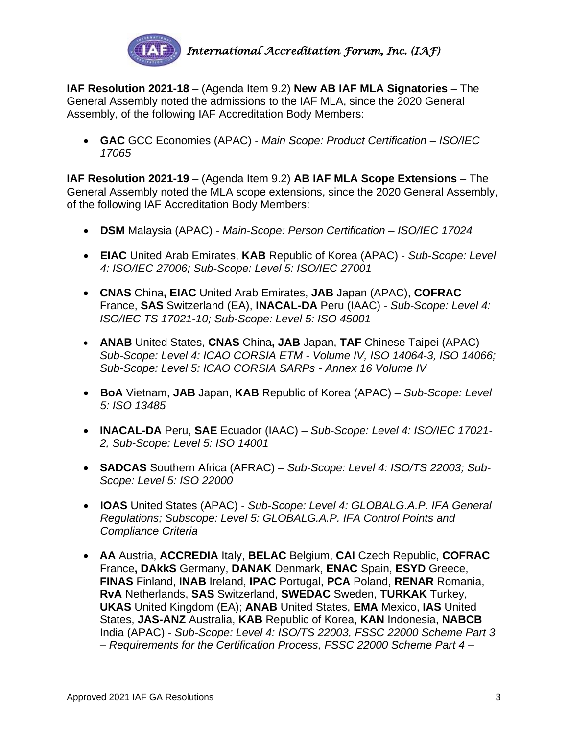

**IAF Resolution 2021-18** – (Agenda Item 9.2) **New AB IAF MLA Signatories** – The General Assembly noted the admissions to the IAF MLA, since the 2020 General Assembly, of the following IAF Accreditation Body Members:

• **GAC** GCC Economies (APAC) - *Main Scope: Product Certification – ISO/IEC 17065*

**IAF Resolution 2021-19** – (Agenda Item 9.2) **AB IAF MLA Scope Extensions** – The General Assembly noted the MLA scope extensions, since the 2020 General Assembly, of the following IAF Accreditation Body Members:

- **DSM** Malaysia (APAC) *Main-Scope: Person Certification – ISO/IEC 17024*
- **EIAC** United Arab Emirates, **KAB** Republic of Korea (APAC) *Sub-Scope: Level 4: ISO/IEC 27006; Sub-Scope: Level 5: ISO/IEC 27001*
- **CNAS** China**, EIAC** United Arab Emirates, **JAB** Japan (APAC), **COFRAC**  France, **SAS** Switzerland (EA), **INACAL-DA** Peru (IAAC) - *Sub-Scope: Level 4: ISO/IEC TS 17021-10; Sub-Scope: Level 5: ISO 45001*
- **ANAB** United States, **CNAS** China**, JAB** Japan, **TAF** Chinese Taipei (APAC) *Sub-Scope: Level 4: ICAO CORSIA ETM - Volume IV, ISO 14064-3, ISO 14066; Sub-Scope: Level 5: ICAO CORSIA SARPs - Annex 16 Volume IV*
- **BoA** Vietnam, **JAB** Japan, **KAB** Republic of Korea (APAC) *Sub-Scope: Level 5: ISO 13485*
- **INACAL-DA** Peru, **SAE** Ecuador (IAAC) *Sub-Scope: Level 4: ISO/IEC 17021- 2, Sub-Scope: Level 5: ISO 14001*
- **SADCAS** Southern Africa (AFRAC) *Sub-Scope: Level 4: ISO/TS 22003; Sub-Scope: Level 5: ISO 22000*
- **IOAS** United States (APAC) *Sub-Scope: Level 4: GLOBALG.A.P. IFA General Regulations; Subscope: Level 5: GLOBALG.A.P. IFA Control Points and Compliance Criteria*
- **AA** Austria, **ACCREDIA** Italy, **BELAC** Belgium, **CAI** Czech Republic, **COFRAC**  France**, DAkkS** Germany, **DANAK** Denmark, **ENAC** Spain, **ESYD** Greece, **FINAS** Finland, **INAB** Ireland, **IPAC** Portugal, **PCA** Poland, **RENAR** Romania, **RvA** Netherlands, **SAS** Switzerland, **SWEDAC** Sweden, **TURKAK** Turkey, **UKAS** United Kingdom (EA); **ANAB** United States, **EMA** Mexico, **IAS** United States, **JAS-ANZ** Australia, **KAB** Republic of Korea, **KAN** Indonesia, **NABCB** India (APAC) - *Sub-Scope: Level 4: ISO/TS 22003, FSSC 22000 Scheme Part 3 – Requirements for the Certification Process, FSSC 22000 Scheme Part 4 –*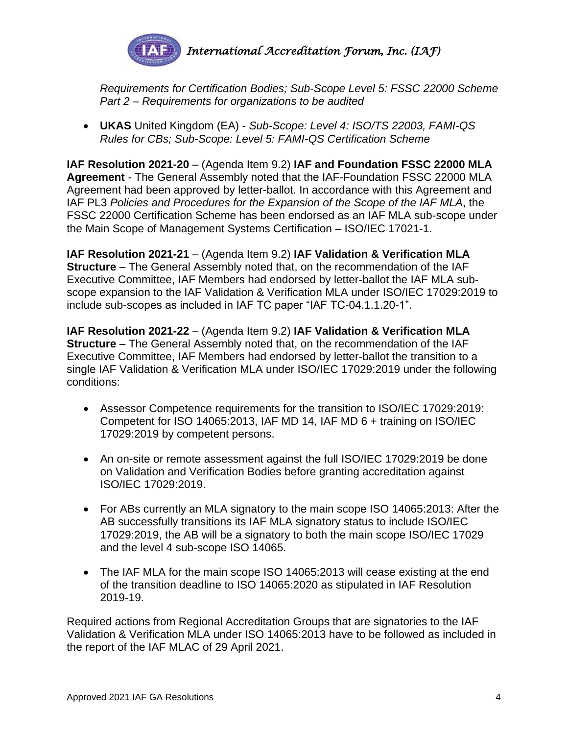

*Requirements for Certification Bodies; Sub-Scope Level 5: FSSC 22000 Scheme Part 2 – Requirements for organizations to be audited*

• **UKAS** United Kingdom (EA) - *Sub-Scope: Level 4: ISO/TS 22003, FAMI-QS Rules for CBs; Sub-Scope: Level 5: FAMI-QS Certification Scheme*

**IAF Resolution 2021-20** – (Agenda Item 9.2) **IAF and Foundation FSSC 22000 MLA Agreement** - The General Assembly noted that the IAF-Foundation FSSC 22000 MLA Agreement had been approved by letter-ballot. In accordance with this Agreement and IAF PL3 *Policies and Procedures for the Expansion of the Scope of the IAF MLA*, the FSSC 22000 Certification Scheme has been endorsed as an IAF MLA sub-scope under the Main Scope of Management Systems Certification – ISO/IEC 17021-1.

**IAF Resolution 2021-21** – (Agenda Item 9.2) **IAF Validation & Verification MLA Structure** – The General Assembly noted that, on the recommendation of the IAF Executive Committee, IAF Members had endorsed by letter-ballot the IAF MLA subscope expansion to the IAF Validation & Verification MLA under ISO/IEC 17029:2019 to include sub-scopes as included in IAF TC paper "IAF TC-04.1.1.20-1".

**IAF Resolution 2021-22** – (Agenda Item 9.2) **IAF Validation & Verification MLA Structure** – The General Assembly noted that, on the recommendation of the IAF Executive Committee, IAF Members had endorsed by letter-ballot the transition to a single IAF Validation & Verification MLA under ISO/IEC 17029:2019 under the following conditions:

- Assessor Competence requirements for the transition to ISO/IEC 17029:2019: Competent for ISO 14065:2013, IAF MD 14, IAF MD 6 + training on ISO/IEC 17029:2019 by competent persons.
- An on-site or remote assessment against the full ISO/IEC 17029:2019 be done on Validation and Verification Bodies before granting accreditation against ISO/IEC 17029:2019.
- For ABs currently an MLA signatory to the main scope ISO 14065:2013: After the AB successfully transitions its IAF MLA signatory status to include ISO/IEC 17029:2019, the AB will be a signatory to both the main scope ISO/IEC 17029 and the level 4 sub-scope ISO 14065.
- The IAF MLA for the main scope ISO 14065:2013 will cease existing at the end of the transition deadline to ISO 14065:2020 as stipulated in IAF Resolution 2019-19.

Required actions from Regional Accreditation Groups that are signatories to the IAF Validation & Verification MLA under ISO 14065:2013 have to be followed as included in the report of the IAF MLAC of 29 April 2021.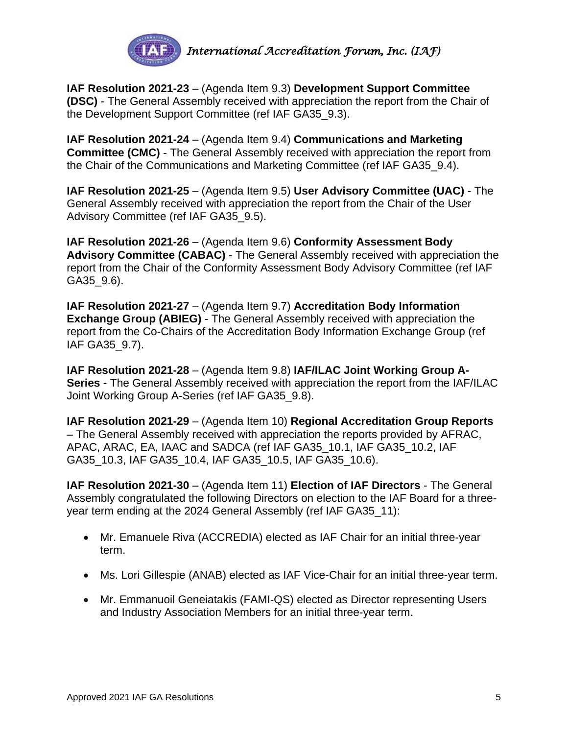

**IAF Resolution 2021-23** – (Agenda Item 9.3) **Development Support Committee (DSC)** - The General Assembly received with appreciation the report from the Chair of the Development Support Committee (ref IAF GA35\_9.3).

**IAF Resolution 2021-24** – (Agenda Item 9.4) **Communications and Marketing Committee (CMC)** - The General Assembly received with appreciation the report from the Chair of the Communications and Marketing Committee (ref IAF GA35\_9.4).

**IAF Resolution 2021-25** – (Agenda Item 9.5) **User Advisory Committee (UAC)** - The General Assembly received with appreciation the report from the Chair of the User Advisory Committee (ref IAF GA35\_9.5).

**IAF Resolution 2021-26** – (Agenda Item 9.6) **Conformity Assessment Body Advisory Committee (CABAC)** - The General Assembly received with appreciation the report from the Chair of the Conformity Assessment Body Advisory Committee (ref IAF GA35\_9.6).

**IAF Resolution 2021-27** – (Agenda Item 9.7) **Accreditation Body Information Exchange Group (ABIEG)** - The General Assembly received with appreciation the report from the Co-Chairs of the Accreditation Body Information Exchange Group (ref IAF GA35\_9.7).

**IAF Resolution 2021-28** – (Agenda Item 9.8) **IAF/ILAC Joint Working Group A-Series** - The General Assembly received with appreciation the report from the IAF/ILAC Joint Working Group A-Series (ref IAF GA35\_9.8).

**IAF Resolution 2021-29** – (Agenda Item 10) **Regional Accreditation Group Reports**  – The General Assembly received with appreciation the reports provided by AFRAC, APAC, ARAC, EA, IAAC and SADCA (ref IAF GA35\_10.1, IAF GA35\_10.2, IAF GA35\_10.3, IAF GA35\_10.4, IAF GA35\_10.5, IAF GA35\_10.6).

**IAF Resolution 2021-30** – (Agenda Item 11) **Election of IAF Directors** - The General Assembly congratulated the following Directors on election to the IAF Board for a threeyear term ending at the 2024 General Assembly (ref IAF GA35\_11):

- Mr. Emanuele Riva (ACCREDIA) elected as IAF Chair for an initial three-year term.
- Ms. Lori Gillespie (ANAB) elected as IAF Vice-Chair for an initial three-year term.
- Mr. Emmanuoil Geneiatakis (FAMI-QS) elected as Director representing Users and Industry Association Members for an initial three-year term.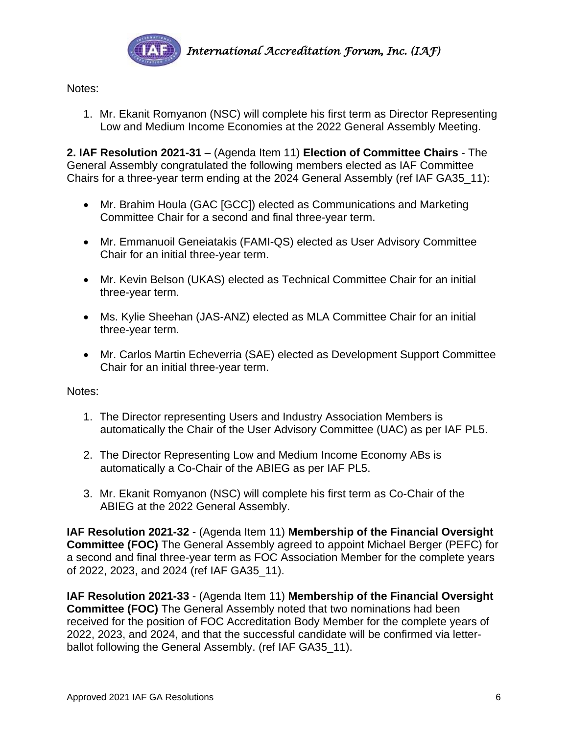

Notes:

1. Mr. Ekanit Romyanon (NSC) will complete his first term as Director Representing Low and Medium Income Economies at the 2022 General Assembly Meeting.

**2. IAF Resolution 2021-31** – (Agenda Item 11) **Election of Committee Chairs** - The General Assembly congratulated the following members elected as IAF Committee Chairs for a three-year term ending at the 2024 General Assembly (ref IAF GA35\_11):

- Mr. Brahim Houla (GAC [GCC]) elected as Communications and Marketing Committee Chair for a second and final three-year term.
- Mr. Emmanuoil Geneiatakis (FAMI-QS) elected as User Advisory Committee Chair for an initial three-year term.
- Mr. Kevin Belson (UKAS) elected as Technical Committee Chair for an initial three-year term.
- Ms. Kylie Sheehan (JAS-ANZ) elected as MLA Committee Chair for an initial three-year term.
- Mr. Carlos Martin Echeverria (SAE) elected as Development Support Committee Chair for an initial three-year term.

Notes:

- 1. The Director representing Users and Industry Association Members is automatically the Chair of the User Advisory Committee (UAC) as per IAF PL5.
- 2. The Director Representing Low and Medium Income Economy ABs is automatically a Co-Chair of the ABIEG as per IAF PL5.
- 3. Mr. Ekanit Romyanon (NSC) will complete his first term as Co-Chair of the ABIEG at the 2022 General Assembly.

**IAF Resolution 2021-32** - (Agenda Item 11) **Membership of the Financial Oversight Committee (FOC)** The General Assembly agreed to appoint Michael Berger (PEFC) for a second and final three-year term as FOC Association Member for the complete years of 2022, 2023, and 2024 (ref IAF GA35\_11).

**IAF Resolution 2021-33** - (Agenda Item 11) **Membership of the Financial Oversight Committee (FOC)** The General Assembly noted that two nominations had been received for the position of FOC Accreditation Body Member for the complete years of 2022, 2023, and 2024, and that the successful candidate will be confirmed via letterballot following the General Assembly. (ref IAF GA35\_11).